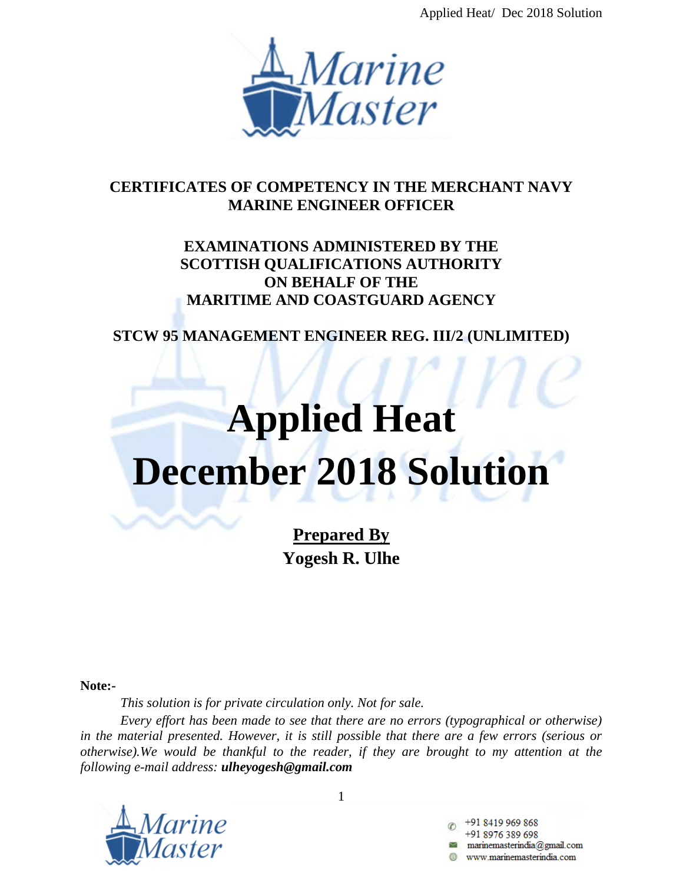Applied Heat/ Dec 2018 Solution



# **CERTIFICATES OF COMPETENCY IN THE MERCHANT NAVY MARINE ENGINEER OFFICER**

# **EXAMINATIONS ADMINISTERED BY THE SCOTTISH QUALIFICATIONS AUTHORITY ON BEHALF OF THE MARITIME AND COASTGUARD AGENCY**

**STCW 95 MANAGEMENT ENGINEER REG. III/2 (UNLIMITED)**

# **Applied Heat December 2018 Solution**

**Prepared By Yogesh R. Ulhe**

**Note:-**

*This solution is for private circulation only. Not for sale.*

*Every effort has been made to see that there are no errors (typographical or otherwise) in the material presented. However, it is still possible that there are a few errors (serious or otherwise).We would be thankful to the reader, if they are brought to my attention at the following e-mail address: ulheyogesh@gmail.com*



1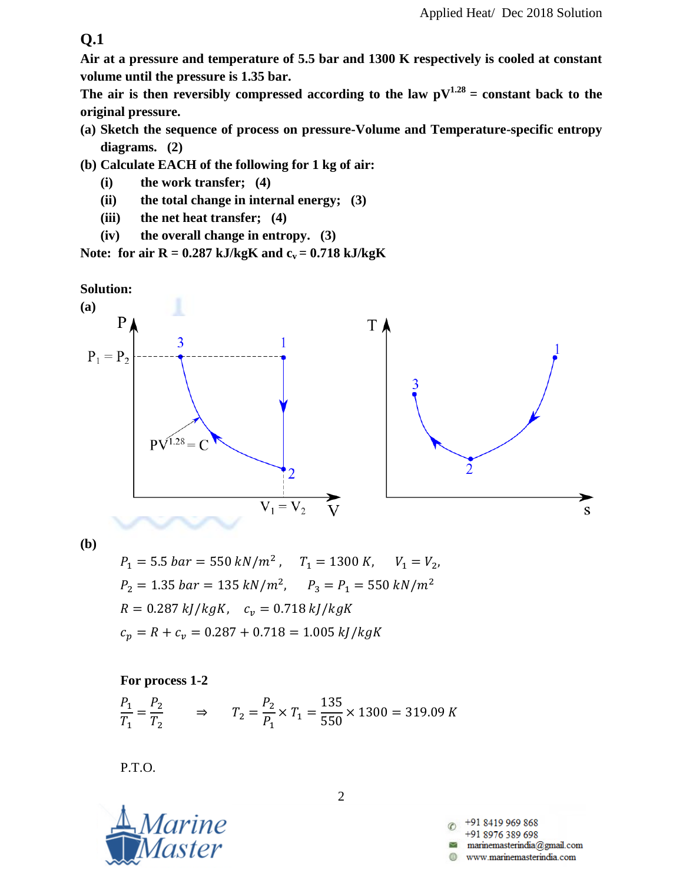**Air at a pressure and temperature of 5.5 bar and 1300 K respectively is cooled at constant volume until the pressure is 1.35 bar.**

The air is then reversibly compressed according to the law  $pV^{1.28}$  = constant back to the **original pressure.**

- **(a) Sketch the sequence of process on pressure-Volume and Temperature-specific entropy diagrams. (2)**
- **(b) Calculate EACH of the following for 1 kg of air:**
	- **(i) the work transfer; (4)**
	- **(ii) the total change in internal energy; (3)**
	- **(iii) the net heat transfer; (4)**
	- **(iv) the overall change in entropy. (3)**

Note: for air  $R = 0.287$  kJ/kgK and  $c_v = 0.718$  kJ/kgK





**(b)**

 $P_1 = 5.5~bar = 550~kN/m^2$  ,  $P_2 = 1.35$  bar = 135 kN/m<sup>2</sup>,  $R = 0.287 \frac{kJ}{kgK}$ ,  $c_v = 0.718 \frac{kJ}{kgK}$  $c_p = R + c_v = 0.287 + 0.718 = 1.005 \, kJ/kgK$ 

**For process 1-2**

$$
\frac{P_1}{T_1} = \frac{P_2}{T_2} \qquad \Rightarrow \qquad T_2 = \frac{P_2}{P_1} \times T_1 = \frac{135}{550} \times 1300 = 319.09 \text{ K}
$$

P.T.O.



+91 8419 969 868 +91 8976 389 698 marinemasterindia@gmail.com www.marinemasterindia.com

2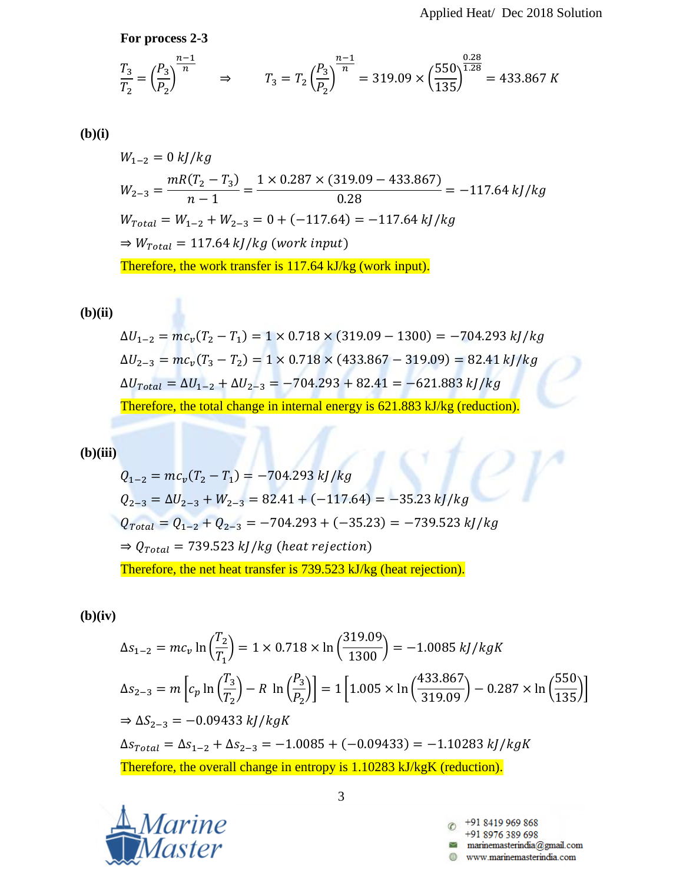**For process 2-3**

$$
\frac{T_3}{T_2} = \left(\frac{P_3}{P_2}\right)^{\frac{n-1}{n}} \Rightarrow T_3 = T_2 \left(\frac{P_3}{P_2}\right)^{\frac{n-1}{n}} = 319.09 \times \left(\frac{550}{135}\right)^{\frac{0.28}{1.28}} = 433.867 K
$$

## **(b)(i)**

$$
W_{1-2} = 0 \frac{kJ/kg}{n-1}
$$
  
\n
$$
W_{2-3} = \frac{mR(T_2 - T_3)}{n-1} = \frac{1 \times 0.287 \times (319.09 - 433.867)}{0.28} = -117.64 \frac{kJ/kg}{kg}
$$
  
\n
$$
W_{Total} = W_{1-2} + W_{2-3} = 0 + (-117.64) = -117.64 \frac{kJ/kg}{kg}
$$
  
\n
$$
\Rightarrow W_{Total} = 117.64 \frac{kJ/kg}{kg (work input)}
$$
  
\nTherefore, the work transfer is 117.64 kJ/kg (work input).

### **(b)(ii)**

$$
\Delta U_{1-2} = mc_v (T_2 - T_1) = 1 \times 0.718 \times (319.09 - 1300) = -704.293 \, kJ/kg
$$
\n
$$
\Delta U_{2-3} = mc_v (T_3 - T_2) = 1 \times 0.718 \times (433.867 - 319.09) = 82.41 \, kJ/kg
$$
\n
$$
\Delta U_{\text{Total}} = \Delta U_{1-2} + \Delta U_{2-3} = -704.293 + 82.41 = -621.883 \, kJ/kg
$$
\nTherefore, the total change in internal energy is 621.883 kJ/kg (reduction).

#### **(b)(iii)**

$$
Q_{1-2} = mc_v(T_2 - T_1) = -704.293 \, kJ/kg
$$
\n
$$
Q_{2-3} = \Delta U_{2-3} + W_{2-3} = 82.41 + (-117.64) = -35.23 \, kJ/kg
$$
\n
$$
Q_{Total} = Q_{1-2} + Q_{2-3} = -704.293 + (-35.23) = -739.523 \, kJ/kg
$$
\n
$$
\Rightarrow Q_{Total} = 739.523 \, kJ/kg \, (heat \, rejection)
$$
\nTherefore, the net heat transfer is 739.523 kJ/kg (heat \, rejection).

## **(b)(iv)**

$$
\Delta s_{1-2} = mc_v \ln \left(\frac{T_2}{T_1}\right) = 1 \times 0.718 \times \ln \left(\frac{319.09}{1300}\right) = -1.0085 \, kJ/kgK
$$
\n
$$
\Delta s_{2-3} = m \left[ c_p \ln \left(\frac{T_3}{T_2}\right) - R \ln \left(\frac{P_3}{P_2}\right) \right] = 1 \left[ 1.005 \times \ln \left(\frac{433.867}{319.09}\right) - 0.287 \times \ln \left(\frac{550}{135}\right) \right]
$$
\n
$$
\Rightarrow \Delta S_{2-3} = -0.09433 \, kJ/kgK
$$
\n
$$
\Delta s_{Total} = \Delta s_{1-2} + \Delta s_{2-3} = -1.0085 + (-0.09433) = -1.10283 \, kJ/kgK
$$
\nTherefore, the overall change in entropy is 1.10283 kJ/kgK (reduction).



3

+91 8419 969 868  $\circledcirc$ +91 8976 389 698 0 www.marinemasterindia.com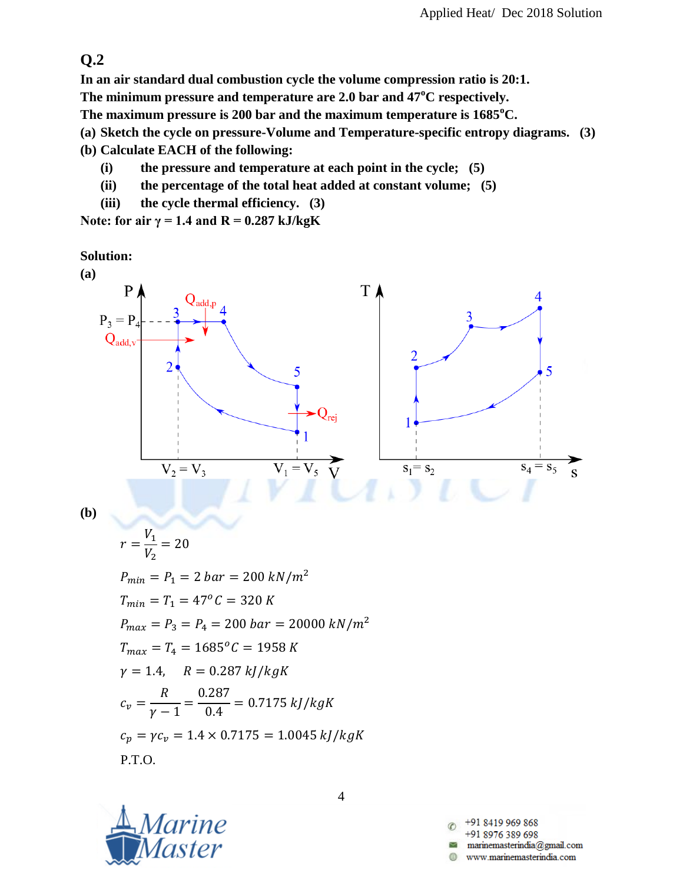**In an air standard dual combustion cycle the volume compression ratio is 20:1.**

**The minimum pressure and temperature are 2.0 bar and 47<sup>o</sup>C respectively.**

**The maximum pressure is 200 bar and the maximum temperature is 1685<sup>o</sup>C.**

**(a) Sketch the cycle on pressure-Volume and Temperature-specific entropy diagrams. (3)**

- **(b) Calculate EACH of the following:**
	- **(i) the pressure and temperature at each point in the cycle; (5)**
	- **(ii) the percentage of the total heat added at constant volume; (5)**
	- **(iii) the cycle thermal efficiency. (3)**

Note: for air  $\gamma = 1.4$  and  $R = 0.287$  kJ/kgK

**Solution:**



**(b)**

$$
r = \frac{V_1}{V_2} = 20
$$
  
\n
$$
P_{min} = P_1 = 2 \text{ bar} = 200 \text{ kN/m}^2
$$
  
\n
$$
T_{min} = T_1 = 47^{\circ}C = 320 \text{ K}
$$
  
\n
$$
P_{max} = P_3 = P_4 = 200 \text{ bar} = 20000 \text{ kN/m}^2
$$
  
\n
$$
T_{max} = T_4 = 1685^{\circ}C = 1958 \text{ K}
$$
  
\n
$$
\gamma = 1.4, \quad R = 0.287 \text{ kJ/kgK}
$$
  
\n
$$
c_v = \frac{R}{\gamma - 1} = \frac{0.287}{0.4} = 0.7175 \text{ kJ/kgK}
$$
  
\n
$$
c_p = \gamma c_v = 1.4 \times 0.7175 = 1.0045 \text{ kJ/kgK}
$$
  
\nP.T.O.



+91 8419 969 868 +91 8976 389 698 marinemasterindia@gmail.com www.marinemasterindia.com

4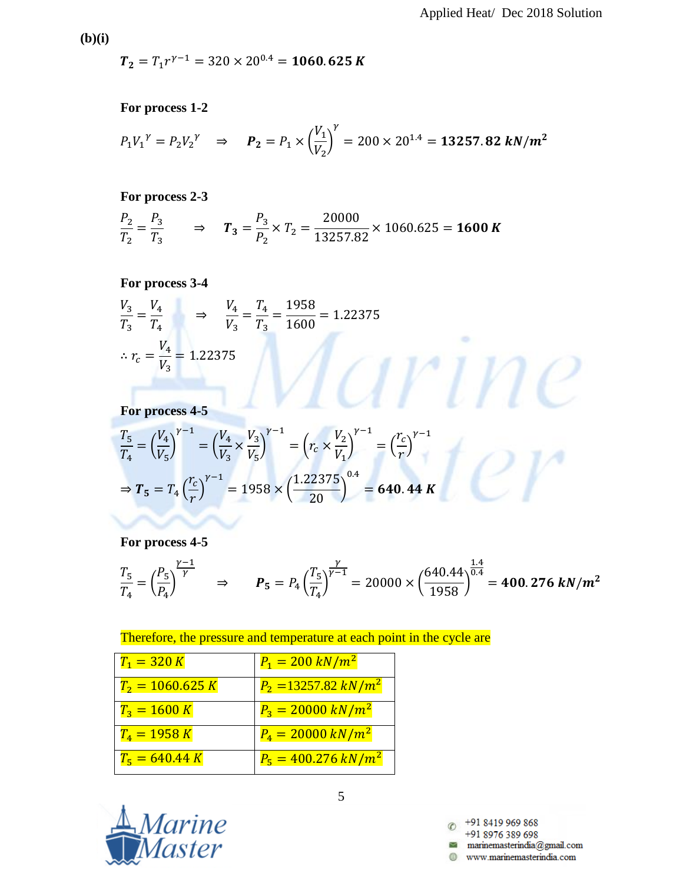$\sim$ 

**(b)(i)**

 $T_2 = T_1 r^{\gamma}$ 

**For process 1-2**

$$
P_1V_1^{\gamma} = P_2V_2^{\gamma} \Rightarrow
$$
  $P_2 = P_1 \times \left(\frac{V_1}{V_2}\right)^{\gamma} = 200 \times 20^{1.4} =$  **13257.82**  $kN/m^2$ 

**For process 2-3**

$$
\frac{P_2}{T_2} = \frac{P_3}{T_3} \qquad \Rightarrow \qquad T_3 = \frac{P_3}{P_2} \times T_2 = \frac{20000}{13257.82} \times 1060.625 = 1600 K
$$

**For process 3-4**

$$
\frac{V_3}{T_3} = \frac{V_4}{T_4} \implies \frac{V_4}{V_3} = \frac{T_4}{T_3} = \frac{1958}{1600} = 1.22375
$$
  

$$
\therefore r_c = \frac{V_4}{V_3} = 1.22375
$$
  
For process 4-5

**For process 4-5**

$$
\frac{T_5}{T_4} = \left(\frac{V_4}{V_5}\right)^{\gamma - 1} = \left(\frac{V_4}{V_3} \times \frac{V_3}{V_5}\right)^{\gamma - 1} = \left(r_c \times \frac{V_2}{V_1}\right)^{\gamma - 1} = \left(\frac{r_c}{r}\right)^{\gamma - 1}
$$
\n
$$
\Rightarrow T_5 = T_4 \left(\frac{r_c}{r}\right)^{\gamma - 1} = 1958 \times \left(\frac{1.22375}{20}\right)^{0.4} = 640.44 K
$$

**For process 4-5**

$$
\frac{T_5}{T_4} = \left(\frac{P_5}{P_4}\right)^{\frac{\gamma-1}{\gamma}} \quad \Rightarrow \quad P_5 = P_4 \left(\frac{T_5}{T_4}\right)^{\frac{\gamma}{\gamma-1}} = 20000 \times \left(\frac{640.44}{1958}\right)^{\frac{1.4}{0.4}} = 400.276 \text{ kN/m}^2
$$

Therefore, the pressure and temperature at each point in the cycle are

| $T_1 = 320 K$      | $P_1 = 200 \ kN/m^2$              |
|--------------------|-----------------------------------|
| $T_2 = 1060.625 K$ | $P_2 = 13257.82 \ kN/m^2$         |
| $T_3 = 1600 K$     | $P_3 = 20000 \ kN/m^2$            |
| $T_4 = 1958 K$     | $P_4 = 20000 \, \text{kN/m}^2$    |
| $T_5 = 640.44 K$   | $P_5 = 400.276 \, \frac{kN}{m^2}$ |



5

+91 8419 969 868 +91 8976 389 698 www.marinemasterindia.com A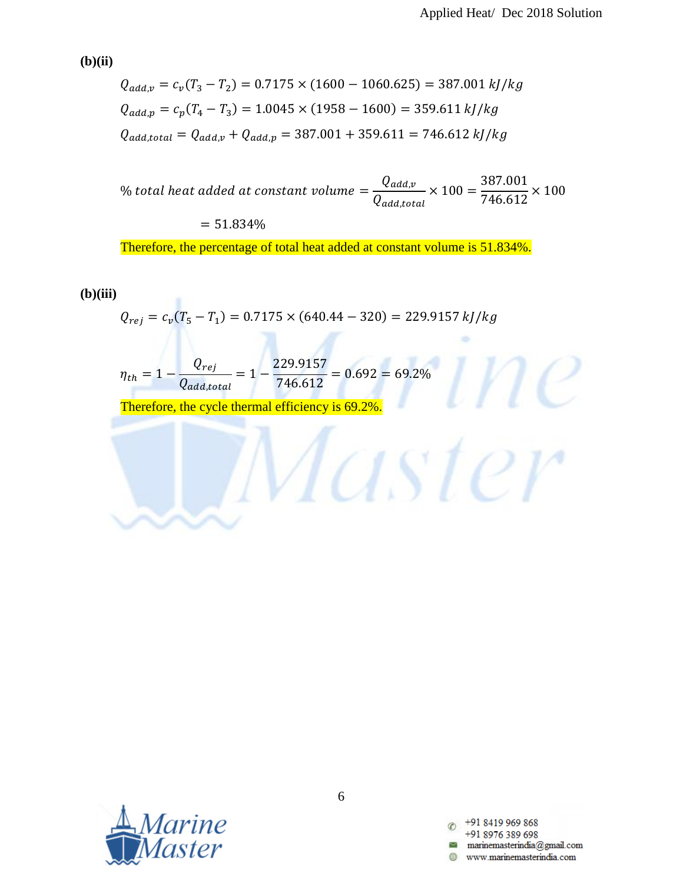$\sim$ 

Master

**(b)(ii)**

$$
Q_{add,v} = c_v(T_3 - T_2) = 0.7175 \times (1600 - 1060.625) = 387.001 \, kJ/kg
$$
\n
$$
Q_{add,p} = c_p(T_4 - T_3) = 1.0045 \times (1958 - 1600) = 359.611 \, kJ/kg
$$
\n
$$
Q_{add,total} = Q_{add,v} + Q_{add,p} = 387.001 + 359.611 = 746.612 \, kJ/kg
$$

 $\%$ Q Q  $\times$ 3 7  $\times$ 

 $= 51.834%$ 

٠

Therefore, the percentage of total heat added at constant volume is 51.834%.

#### **(b)(iii)**

$$
Q_{rej} = c_v(T_5 - T_1) = 0.7175 \times (640.44 - 320) = 229.9157 \, kJ/kg
$$

$$
\eta_{th} = 1 - \frac{Q_{rej}}{Q_{add,total}} = 1 - \frac{229.9157}{746.612} = 0.692 = 69.2\%
$$

Therefore, the cycle thermal efficiency is 69.2%.



+91 8419 969 868 +91 8976 389 698 www.marinemasterindia.com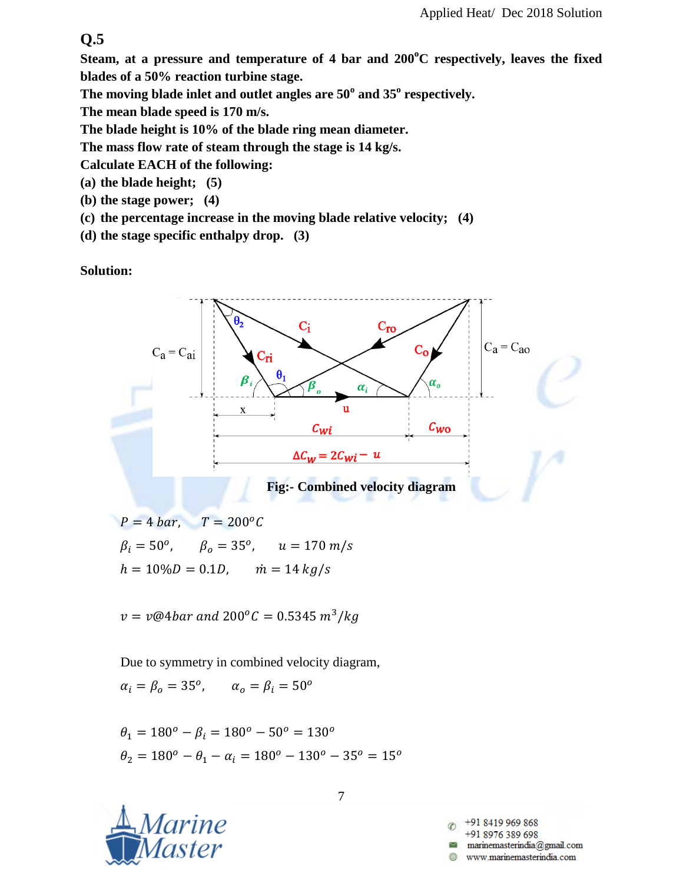**Steam, at a pressure and temperature of 4 bar and 200<sup>o</sup>C respectively, leaves the fixed blades of a 50% reaction turbine stage.**

**The moving blade inlet and outlet angles are 50<sup>o</sup> and 35<sup>o</sup> respectively.**

**The mean blade speed is 170 m/s.**

**The blade height is 10% of the blade ring mean diameter.**

**The mass flow rate of steam through the stage is 14 kg/s.**

**Calculate EACH of the following:**

- **(a) the blade height; (5)**
- **(b) the stage power; (4)**
- **(c) the percentage increase in the moving blade relative velocity; (4)**
- **(d) the stage specific enthalpy drop. (3)**

**Solution:**



 $P = 4 bar$ ,  $T = 200^{\circ}C$  $\beta_i = 50^o$ ,  $\beta_o = 35^o$ ,  $h = 10\%D = 0.1D$ ,  $\dot{m} = 14 \frac{kg}{s}$ 

 $v=v@4bar$  and  $200^oC=0.5345\ m^3/$ 

Due to symmetry in combined velocity diagram,

$$
\alpha_i = \beta_o = 35^o, \qquad \alpha_o = \beta_i = 50^o
$$

 $\theta_1 = 180^\circ - \beta_i = 180^\circ - 50^\circ = 130^\circ$  $\theta_2 = 180^\circ - \theta_1 - \alpha_i = 180^\circ - 130^\circ - 35^\circ = 15^\circ$ 

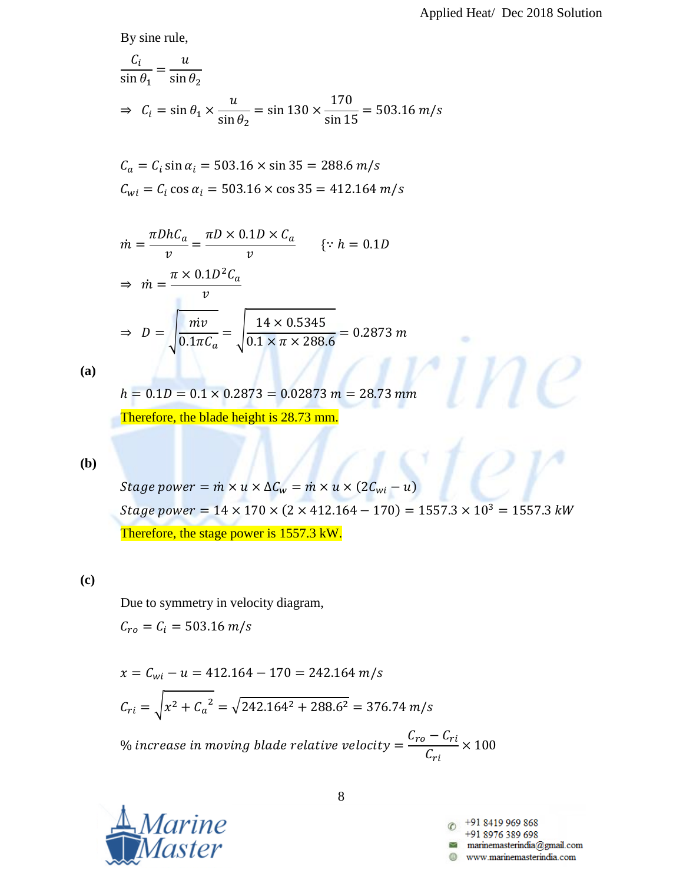ö

By sine rule,

$$
\frac{C_i}{\sin \theta_1} = \frac{u}{\sin \theta_2}
$$
  
\n
$$
\Rightarrow C_i = \sin \theta_1 \times \frac{u}{\sin \theta_2} = \sin 130 \times \frac{170}{\sin 15} = 503.16 \text{ m/s}
$$

$$
C_a = C_i \sin \alpha_i = 503.16 \times \sin 35 = 288.6 \, m/s
$$
\n
$$
C_{wi} = C_i \cos \alpha_i = 503.16 \times \cos 35 = 412.164 \, m/s
$$

$$
\dot{m} = \frac{\pi D h C_a}{v} = \frac{\pi D \times 0.1D \times C_a}{v} \qquad \{ \because h = 0.1D
$$
\n
$$
\Rightarrow \quad \dot{m} = \frac{\pi \times 0.1D^2 C_a}{v}
$$
\n
$$
\Rightarrow \quad D = \sqrt{\frac{m v}{0.1 \pi C_a}} = \sqrt{\frac{14 \times 0.5345}{0.1 \times \pi \times 288.6}} = 0.2873 \, m
$$

**(a)**

 $h = 0.1D = 0.1 \times 0.2873 = 0.02873$  m = 28.73 mm

Therefore, the blade height is 28.73 mm.

#### **(b)**

Stage power =  $\dot{m} \times u \times \Delta C_w = \dot{m} \times u \times (2C_{wi} - u)$ Stage power =  $14 \times 170 \times (2 \times 412.164 - 170) = 1557.3 \times 10^3 = 1557.3$  kW Therefore, the stage power is 1557.3 kW.

## **(c)**

Due to symmetry in velocity diagram,

$$
C_{ro} = C_i = 503.16 \ m/s
$$

$$
x = C_{wi} - u = 412.164 - 170 = 242.164 \, m/s
$$
\n
$$
C_{ri} = \sqrt{x^2 + C_a^2} = \sqrt{242.164^2 + 288.6^2} = 376.74 \, m/s
$$
\n
$$
\% \text{ increase in moving blade relative velocity} = \frac{C_{ro} - C_{ri}}{C_{ri}} \times 10
$$



+91 8419 969 868 +91 8976 389 698  $\label{eq:main} \text{marianemasterindia} @ \text{gmail.com}$ www.marinemasterindia.com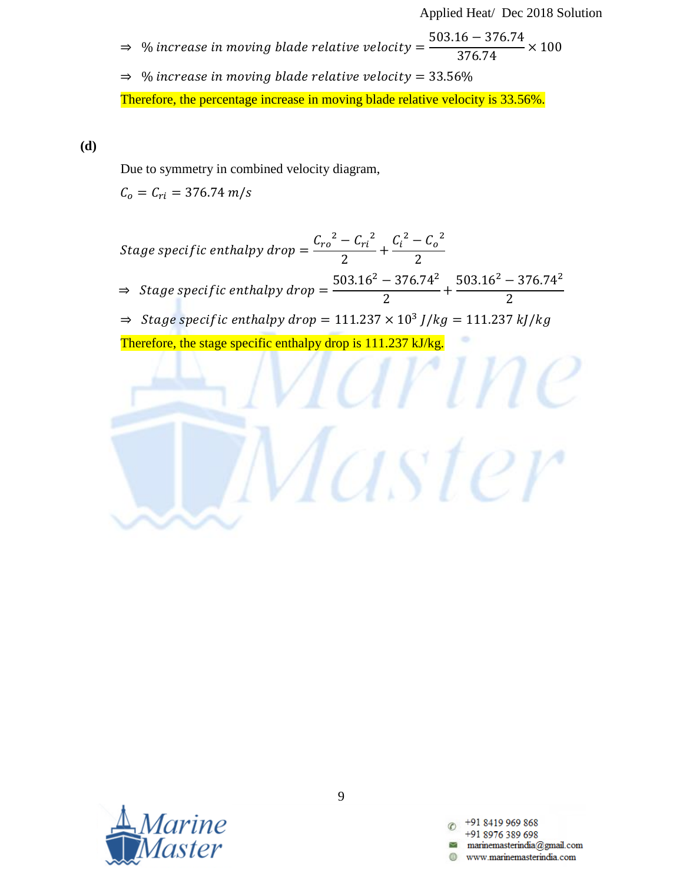Applied Heat/ Dec 2018 Solution

 $\alpha$ 

aster

- $\Rightarrow$ 5 3  $\times$
- $\Rightarrow$  % increase in moving blade relative velocity = 33.56% Therefore, the percentage increase in moving blade relative velocity is 33.56%.

**(d)**

Due to symmetry in combined velocity diagram,

 $C_o = C_{ri} = 376.74 \ m/s$ 

Stage specific enthalpy drop 
$$
= \frac{C_{ro}^2 - C_{ri}^2}{2} + \frac{C_i^2 - C_o^2}{2}
$$

$$
\Rightarrow
$$
 Stage specific enthalpy drop 
$$
= \frac{503.16^2 - 376.74^2}{2} + \frac{503.16^2 - 376.74^2}{2}
$$

$$
\Rightarrow
$$
 Stage specific enthalpy drop = 111.237 × 10<sup>3</sup> J/kg = 111.237 kJ/kg

Therefore, the stage specific enthalpy drop is 111.237 kJ/kg.

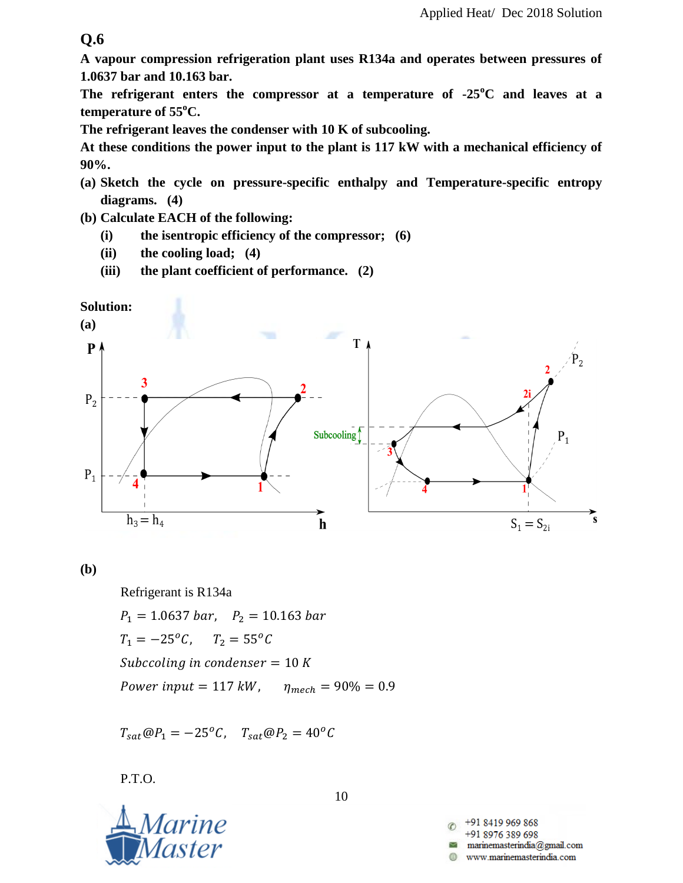**A vapour compression refrigeration plant uses R134a and operates between pressures of 1.0637 bar and 10.163 bar.**

**The refrigerant enters the compressor at a temperature of -25<sup>o</sup>C and leaves at a temperature of 55<sup>o</sup>C.**

**The refrigerant leaves the condenser with 10 K of subcooling.**

**At these conditions the power input to the plant is 117 kW with a mechanical efficiency of 90%.**

- **(a) Sketch the cycle on pressure-specific enthalpy and Temperature-specific entropy diagrams. (4)**
- **(b) Calculate EACH of the following:**
	- **(i) the isentropic efficiency of the compressor; (6)**
	- **(ii) the cooling load; (4)**
	- **(iii) the plant coefficient of performance. (2)**





**(b)**

Refrigerant is R134a

 $P_1 = 1.0637 bar$ ,  $P_2 = 10.163 bar$  $T_1 = -25^{\circ}C$ ,  $T_2 = 55^{\circ}C$ Subccoling in condenser =  $10 K$ Power input =  $117 kW$ ,  $\eta_{mech} = 90\% = 0.9$ 

 $T_{sat} @ P_1 = -25^{\circ}C, \quad T_{sat} @ P_2 = 40^{\circ}C$ 

P.T.O.



10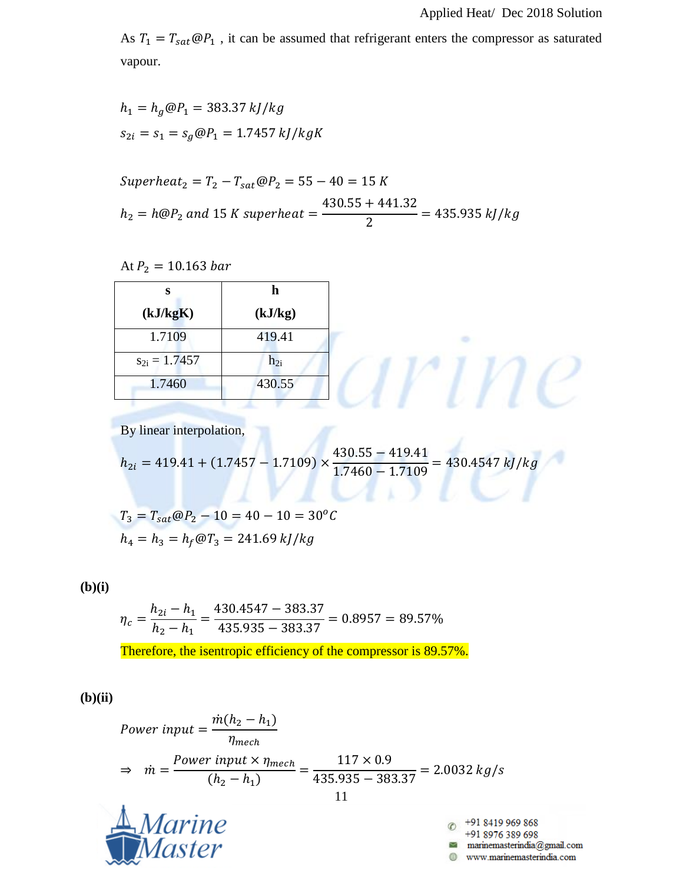$\overline{e}$ 

As  $T_1 = T_{sat} \omega P_1$ , it can be assumed that refrigerant enters the compressor as saturated vapour.

$$
h_1 = h_g @ P_1 = 383.37 \, kJ/kg
$$
  

$$
s_{2i} = s_1 = s_g @ P_1 = 1.7457 \, kJ/kgK
$$

Superheat<sub>2</sub> = 
$$
T_2 - T_{sat} \textcircled{e} P_2 = 55 - 40 = 15 K
$$
  
 $h_2 = h \textcircled{e} P_2$  and 15 K superheat =  $\frac{430.55 + 441.32}{2} = 435.935 kJ/kg$ 

At 
$$
P_2 = 10.163 \text{ bar}
$$

| s                 | h                 |
|-------------------|-------------------|
| (kJ/kgK)          | (kJ/kg)           |
| 1.7109            | 419.41            |
| $s_{2i} = 1.7457$ | $\mathbf{h}_{2i}$ |
| 1.7460            | 430.55            |

By linear interpolation,

$$
h_{2i} = 419.41 + (1.7457 - 1.7109) \times \frac{430.55 - 419.41}{1.7460 - 1.7109} = 430.4547 \, kJ/kg
$$

 $\overline{u}$ 

 $T_3 = T_{sat} @ P_2 - 10 = 40 - 10 = 30^oC$  $h_4 = h_3 = h_f \omega T_3 = 241.69 \, kJ/kg$ 

**(b)(i)**

$$
\eta_c = \frac{h_{2i} - h_1}{h_2 - h_1} = \frac{430.4547 - 383.37}{435.935 - 383.37} = 0.8957 = 89.57\%
$$

Therefore, the isentropic efficiency of the compressor is 89.57%.

**(b)(ii)**

Power input = 
$$
\frac{\dot{m}(h_2 - h_1)}{\eta_{mech}}
$$
  
\n $\Rightarrow \quad \dot{m} = \frac{Power\ input \times \eta_{mech}}{(h_2 - h_1)} = \frac{117 \times 0.9}{435.935 - 383.37} = 2.0032 \, kg/s$   
\n11  
\n $\triangle$  *Marine*  
\n*Marine*  
\n*Master*

www.marinemasterindia.com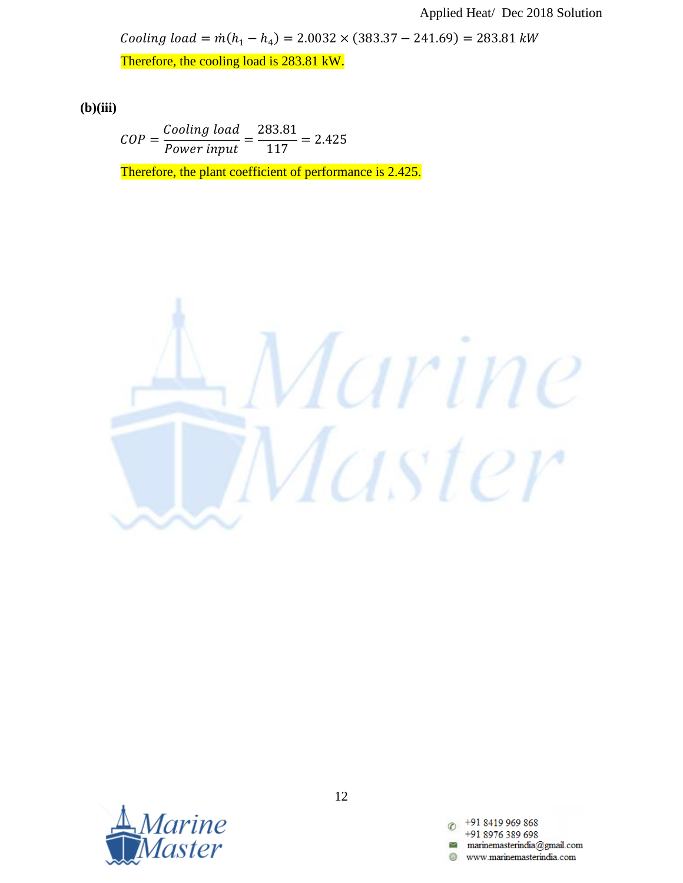Cooling load =  $\dot{m}(h_1 - h_4) = 2.0032 \times (383.37 - 241.69) =$ 

Therefore, the cooling load is 283.81 kW.

**(b)(iii)**

$$
COP = \frac{Cooling~load}{Power~input} = \frac{283.81}{117} = 2.425
$$

Therefore, the plant coefficient of performance is 2.425.





12

+91 8419 969 868 +91 8976 389 698 www.marinemasterindia.com æ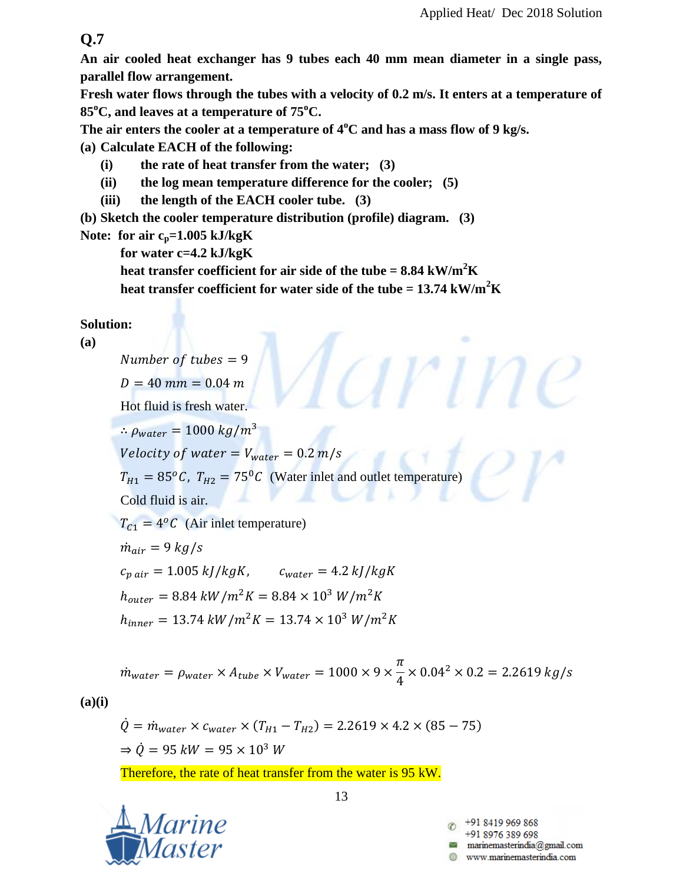**An air cooled heat exchanger has 9 tubes each 40 mm mean diameter in a single pass, parallel flow arrangement.**

**Fresh water flows through the tubes with a velocity of 0.2 m/s. It enters at a temperature of 85<sup>o</sup>C, and leaves at a temperature of 75<sup>o</sup>C.**

**The air enters the cooler at a temperature of 4<sup>o</sup>C and has a mass flow of 9 kg/s.**

**(a) Calculate EACH of the following:**

- **(i) the rate of heat transfer from the water; (3)**
- **(ii) the log mean temperature difference for the cooler; (5)**
- **(iii) the length of the EACH cooler tube. (3)**

**(b) Sketch the cooler temperature distribution (profile) diagram. (3)**

**Note: for air cp=1.005 kJ/kgK**

**for water c=4.2 kJ/kgK**

heat transfer coefficient for air side of the tube  $= 8.84 \text{ kW/m}^2\text{K}$ **heat transfer coefficient for water side of the tube =**  $13.74 \text{ kW/m}^2\text{K}$ 

## **Solution:**

#### **(a)**

Number of tubes =  $9$  $D = 40$  mm = 0.04 m Hot fluid is fresh water.  $\therefore$   $\rho_{water} = 1000 kg/m^3$ Velocity of water =  $V_{water}$  = 0.2 m/s  $T_{H1} = 85\degree C$ ,  $T_{H2} = 75\degree C$  (Water inlet and outlet temperature) Cold fluid is air.  $T_{C1} = 4^{o}C$  (Air inlet temperature)  $\dot{m}_{air} = 9 kg/s$  $c_{\text{pair}} = 1.005 \frac{kJ}{kgK}$ ,  $c_{\text{water}} = 4.2 \frac{kJ}{kgK}$  $h_{outer} = 8.84 \, kW/m^2K = 8.84 \times 10^3 \, W/m^2K$  $h_{inner} = 13.74 \, kW/m^2K = 13.74 \times 10^3 \, W/m^2K$ 

 $\dot{m}_w$  $\pi$  $\overline{4}$  $\times$ 

**(a)(i)**

$$
\dot{Q} = \dot{m}_{water} \times c_{water} \times (T_{H1} - T_{H2}) = 2.2619 \times 4.2 \times (85 - 75)
$$
  
\n
$$
\Rightarrow \dot{Q} = 95 \, kW = 95 \times 10^3 \, W
$$

Therefore, the rate of heat transfer from the water is 95 kW.

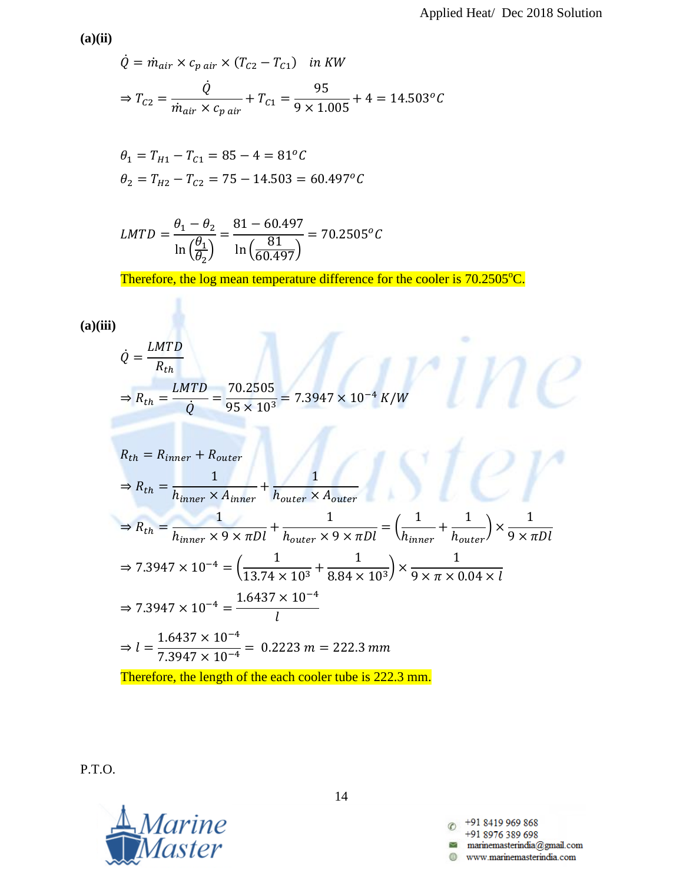**(a)(ii)**

$$
\dot{Q} = \dot{m}_{air} \times c_{p \, air} \times (T_{C2} - T_{C1}) \quad in \, KW
$$
\n
$$
\Rightarrow T_{C2} = \frac{\dot{Q}}{\dot{m}_{air} \times c_{p \, air}} + T_{C1} = \frac{95}{9 \times 1.005} + 4 = 14.503 \, ^\circ C
$$

$$
\theta_1 = T_{H1} - T_{C1} = 85 - 4 = 81^{\circ}C
$$
  
\n
$$
\theta_2 = T_{H2} - T_{C2} = 75 - 14.503 = 60.497^{\circ}C
$$

$$
LMTD = \frac{\theta_1 - \theta_2}{\ln\left(\frac{\theta_1}{\theta_2}\right)} = \frac{81 - 60.497}{\ln\left(\frac{81}{60.497}\right)} = 70.2505^oC
$$

Therefore, the log mean temperature difference for the cooler is 70.2505<sup>o</sup>C.

# **(a)(iii)**

$$
\dot{Q} = \frac{LMTD}{R_{th}}
$$
\n
$$
\Rightarrow R_{th} = \frac{LMTD}{Q} = \frac{70.2505}{95 \times 10^3} = 7.3947 \times 10^{-4} K/W
$$
\n
$$
R_{th} = R_{inner} + R_{outer}
$$
\n
$$
\Rightarrow R_{th} = \frac{1}{h_{inner} \times A_{inner}} + \frac{1}{h_{outer} \times A_{outer}}
$$
\n
$$
\Rightarrow R_{th} = \frac{1}{h_{inner} \times 9 \times \pi D l} + \frac{1}{h_{outer} \times 9 \times \pi D l} = \left(\frac{1}{h_{inner}} + \frac{1}{h_{outer}}\right) \times \frac{1}{9 \times \pi D l}
$$
\n
$$
\Rightarrow 7.3947 \times 10^{-4} = \left(\frac{1}{13.74 \times 10^3} + \frac{1}{8.84 \times 10^3}\right) \times \frac{1}{9 \times \pi \times 0.04 \times l}
$$
\n
$$
\Rightarrow 7.3947 \times 10^{-4} = \frac{1.6437 \times 10^{-4}}{l}
$$
\n
$$
\Rightarrow l = \frac{1.6437 \times 10^{-4}}{7.3947 \times 10^{-4}} = 0.2223 m = 222.3 mm
$$
\nTherefore, the length of the each cooler tube is 222.3 mm.

P.T.O.



14

+91 8419 969 868  $\circledcirc$ +91 8976 389 698  ${m} {\color{red} a} {\color{green} a} {\color{green} a} {\color{green} b} {\color{green} a} {\color{green} a} {\color{green} a} {\color{green} a} {\color{green} a} {\color{green} a} {\color{green} a} {\color{green} a} {\color{green} a} {\color{green} a} {\color{green} a} {\color{green} a} {\color{green} a} {\color{green} a} {\color{green} a} {\color{green} a} {\color{green} a} {\color{green} a} {\color{green} a} {\color{green} a} {\color{green} a} {\color{green} a} {\color{green} a} {\color{green} a} {\color{green} a} {\color{green} a} {\color{green} a}$ www.marinemasterindia.com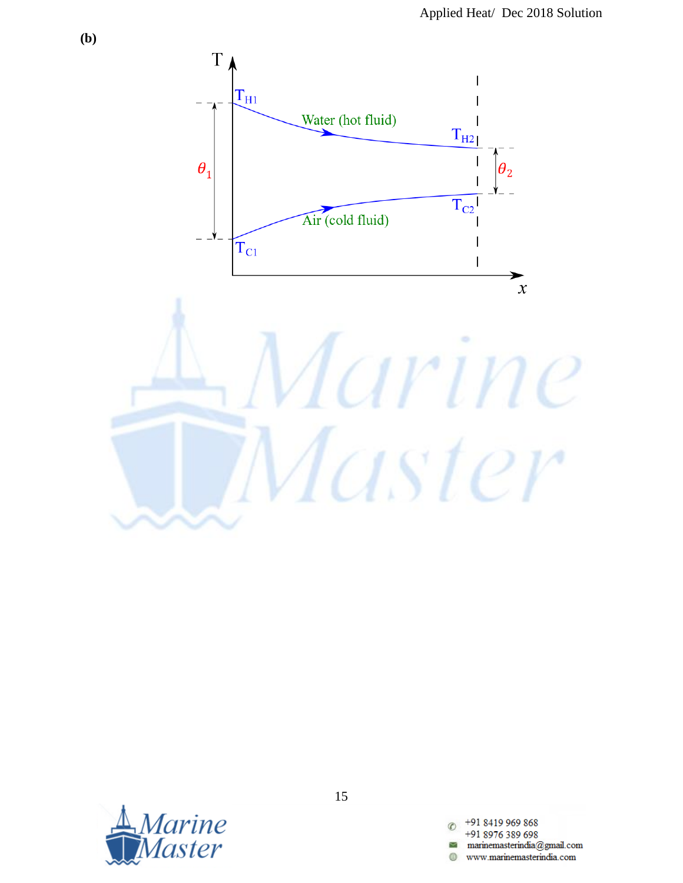



15

+91 8419 969 868  $\overline{c}$ +91 8976 389 698 0 www.marinemasterindia.com

**(b)**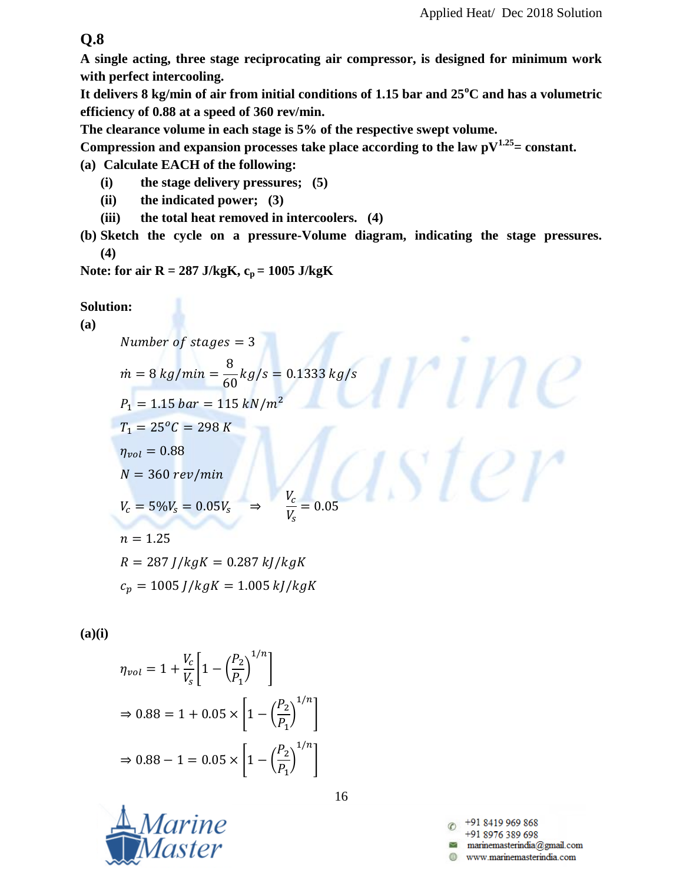**A single acting, three stage reciprocating air compressor, is designed for minimum work with perfect intercooling.**

**It delivers 8 kg/min of air from initial conditions of 1.15 bar and 25<sup>o</sup>C and has a volumetric efficiency of 0.88 at a speed of 360 rev/min.**

**The clearance volume in each stage is 5% of the respective swept volume.**

Compression and expansion processes take place according to the law  $pV^{1.25}$  = constant.

**(a) Calculate EACH of the following:**

**(i) the stage delivery pressures; (5)**

- **(ii) the indicated power; (3)**
- **(iii) the total heat removed in intercoolers. (4)**
- **(b) Sketch the cycle on a pressure-Volume diagram, indicating the stage pressures. (4)**

**Note: for air R = 287 J/kgK,**  $c_p = 1005$  **J/kgK** 

## **Solution:**

**(a)**

Number of stages =  $3$ 8  $\dot{m} =$ 6  $P_1 = 1.15 \text{ bar} = 115 \text{ kN/m}^2$  $T_1 = 25^{\circ}C = 298K$  $iter$  $\eta_{vol} = 0.88$  $N = 360 rev/min$  $V_{c}$  $V_c = 5\%V_s = 0.05V_s$  $\Rightarrow$  $=$ V<sub>s</sub>  $n = 1.25$  $R = 287$   $I/kgK = 0.287$   $kJ/kgK$  $c_p = 1005 J/kgK = 1.005 kJ/kgK$ 

**(a)(i)**

$$
\eta_{vol} = 1 + \frac{V_c}{V_s} \left[ 1 - \left(\frac{P_2}{P_1}\right)^{1/n} \right]
$$
  
\n
$$
\Rightarrow 0.88 = 1 + 0.05 \times \left[ 1 - \left(\frac{P_2}{P_1}\right)^{1/n} \right]
$$
  
\n
$$
\Rightarrow 0.88 - 1 = 0.05 \times \left[ 1 - \left(\frac{P_2}{P_1}\right)^{1/n} \right]
$$



16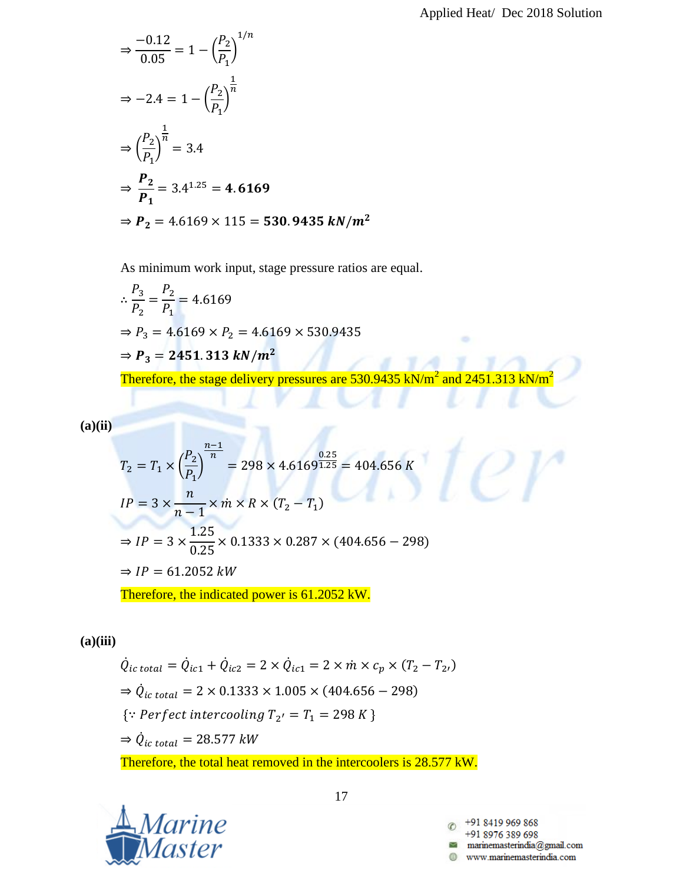$$
\Rightarrow \frac{-0.12}{0.05} = 1 - \left(\frac{P_2}{P_1}\right)^{1/n}
$$
  
\n
$$
\Rightarrow -2.4 = 1 - \left(\frac{P_2}{P_1}\right)^{\frac{1}{n}}
$$
  
\n
$$
\Rightarrow \left(\frac{P_2}{P_1}\right)^{\frac{1}{n}} = 3.4
$$
  
\n
$$
\Rightarrow \frac{P_2}{P_1} = 3.4^{1.25} = 4.6169
$$
  
\n
$$
\Rightarrow P_2 = 4.6169 \times 115 = 530.9435 kN/m^2
$$

As minimum work input, stage pressure ratios are equal.

$$
\therefore \frac{P_3}{P_2} = \frac{P_2}{P_1} = 4.6169
$$
  
\n⇒ P<sub>3</sub> = 4.6169 × P<sub>2</sub> = 4.6169 × 530.9435  
\n⇒ P<sub>3</sub> = 2451.313 kN/m<sup>2</sup>  
\nTherefore, the stage delivery pressures are 530.9435 kN/m<sup>2</sup> and 2451.313 kN/m<sup>2</sup>

**(a)(ii)**

$$
T_2 = T_1 \times \left(\frac{P_2}{P_1}\right)^{\frac{n-1}{n}} = 298 \times 4.6169^{\frac{0.25}{1.25}} = 404.656 \text{ K}
$$
  
\n
$$
IP = 3 \times \frac{n}{n-1} \times \dot{m} \times R \times (T_2 - T_1)
$$
  
\n
$$
\Rightarrow IP = 3 \times \frac{1.25}{0.25} \times 0.1333 \times 0.287 \times (404.656 - 298)
$$
  
\n
$$
\Rightarrow IP = 61.2052 \text{ kW}
$$
  
\nTherefore, the indicated power is 61.2052 MW

Therefore, the indicated power is 61.2052 kW.

## **(a)(iii)**

 $\dot{Q}_{ic\ total} = \dot{Q}_{ic1} + \dot{Q}_{ic2} = 2 \times \dot{Q}_{ic1} = 2 \times \dot{m} \times c_p \times (T_2 - T_2)$  $\Rightarrow \dot{Q}_{ic\ total} = 2 \times 0.1333 \times 1.005 \times (404.656 - 298)$  $\{ \because \text{Perfect}\text{ }intercooling\ T_{2'} = T_1 = 298\ K\ \}$  $\Rightarrow \dot{Q}_i$ Therefore, the total heat removed in the intercoolers is 28.577 kW.



17

+91 8419 969 868 +91 8976 389 698 www.marinemasterindia.com

 ${\scriptstyle O}$   ${\scriptstyle V}$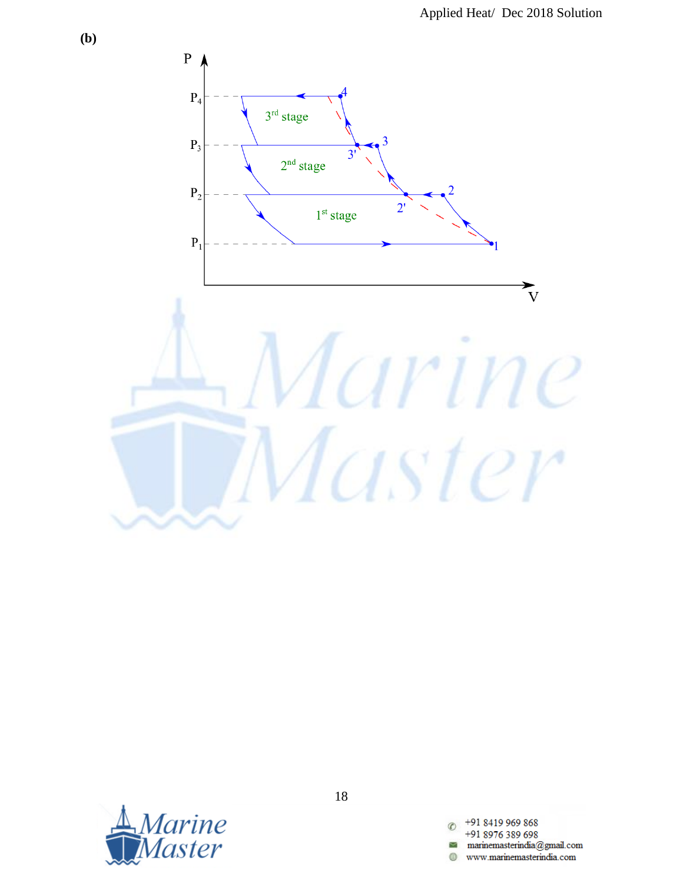



18

+91 8419 969 868  $\overline{c}$ +91 8976 389 698 0 www.marinemasterindia.com

**(b)**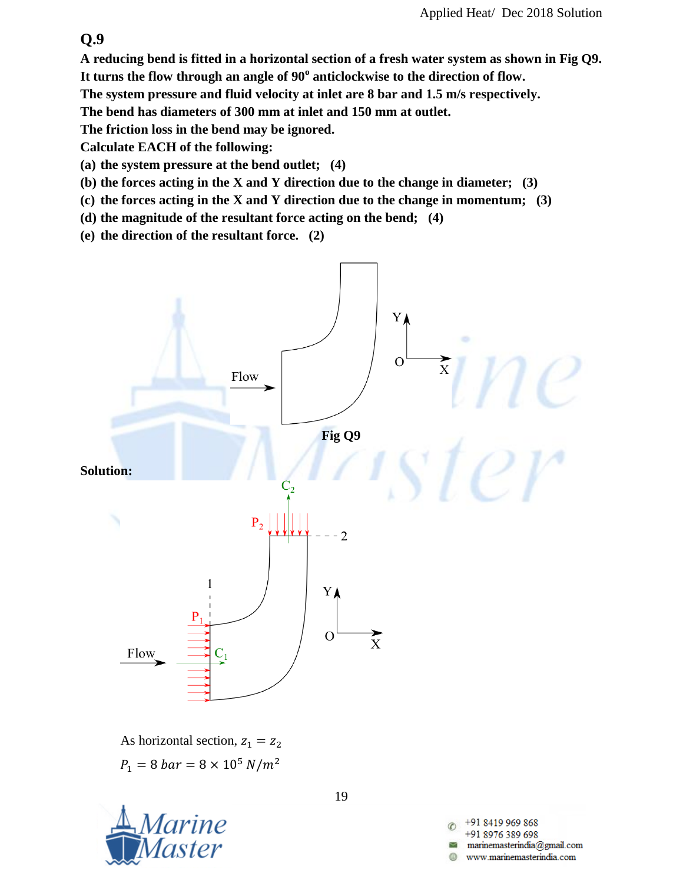**A reducing bend is fitted in a horizontal section of a fresh water system as shown in Fig Q9.** 

**It turns the flow through an angle of 90<sup>o</sup> anticlockwise to the direction of flow.**

**The system pressure and fluid velocity at inlet are 8 bar and 1.5 m/s respectively.**

**The bend has diameters of 300 mm at inlet and 150 mm at outlet.**

**The friction loss in the bend may be ignored.**

**Calculate EACH of the following:**

- **(a) the system pressure at the bend outlet; (4)**
- **(b) the forces acting in the X and Y direction due to the change in diameter; (3)**
- **(c) the forces acting in the X and Y direction due to the change in momentum; (3)**
- **(d) the magnitude of the resultant force acting on the bend; (4)**

**(e) the direction of the resultant force. (2)**



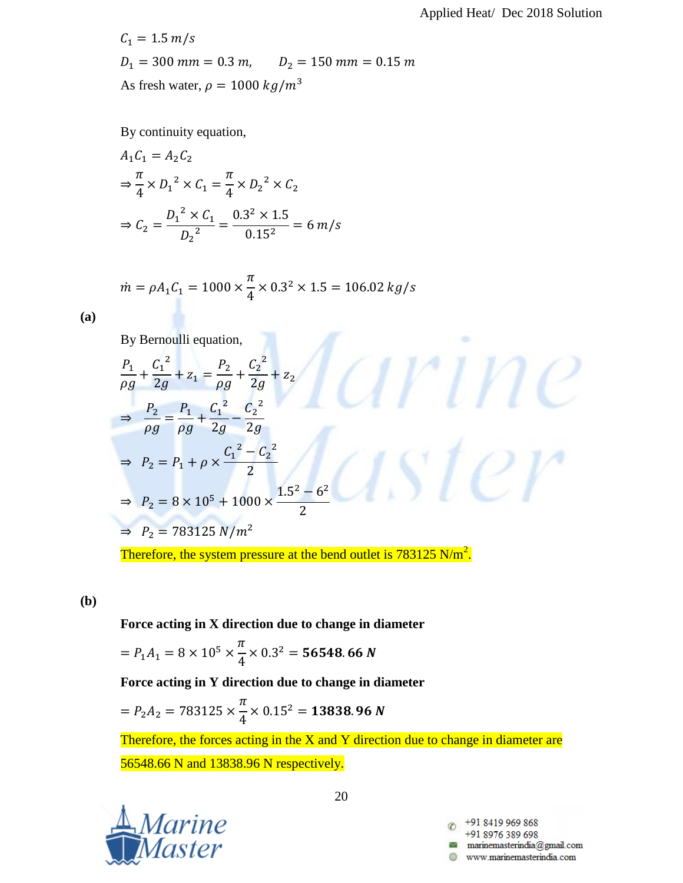$\mathcal{O}(\mathcal{C})$ 

 $C_1 = 1.5 \, m/s$  $D_1 = 300$  mm = 0.3 m,  $D_2 = 150$  mm = 0.15 m As fresh water,  $\rho = 1000 \ kg/m^3$ 

By continuity equation,

$$
A_1 C_1 = A_2 C_2
$$
  
\n
$$
\Rightarrow \frac{\pi}{4} \times D_1^2 \times C_1 = \frac{\pi}{4} \times D_2^2 \times C_2
$$
  
\n
$$
\Rightarrow C_2 = \frac{D_1^2 \times C_1}{D_2^2} = \frac{0.3^2 \times 1.5}{0.15^2} = 6 m/s
$$

$$
\dot{m} = \rho A_1 C_1 = 1000 \times \frac{\pi}{4} \times 0.3^2 \times 1.5 = 106.02 \, kg/s
$$

**(a)**

By Bernoulli equation,

$$
\frac{P_1}{\rho g} + \frac{C_1^2}{2g} + z_1 = \frac{P_2}{\rho g} + \frac{C_2^2}{2g} + z_2
$$
\n  
\n⇒ 
$$
\frac{P_2}{\rho g} = \frac{P_1}{\rho g} + \frac{C_1^2}{2g} - \frac{C_2^2}{2g}
$$
\n  
\n⇒ 
$$
P_2 = P_1 + \rho \times \frac{C_1^2 - C_2^2}{2}
$$
\n  
\n⇒ 
$$
P_2 = 8 \times 10^5 + 1000 \times \frac{1.5^2 - 6^2}{2}
$$
\n  
\n⇒ 
$$
P_2 = 783125 \text{ N/m}^2
$$

Therefore, the system pressure at the bend outlet is  $783125 \text{ N/m}^2$ .

**(b)**

**Force acting in X direction due to change in diameter**

$$
= P_1 A_1 = 8 \times 10^5 \times \frac{\pi}{4} \times 0.3^2 =
$$
 **56548.66** N

**Force acting in Y direction due to change in diameter**

$$
= P_2 A_2 = 783125 \times \frac{\pi}{4} \times 0.15^2 = 13838.96 N
$$

Therefore, the forces acting in the  $X$  and  $Y$  direction due to change in diameter are 56548.66 N and 13838.96 N respectively.



20

+91 8419 969 868 +91 8976 389 698 www.marinemasterindia.com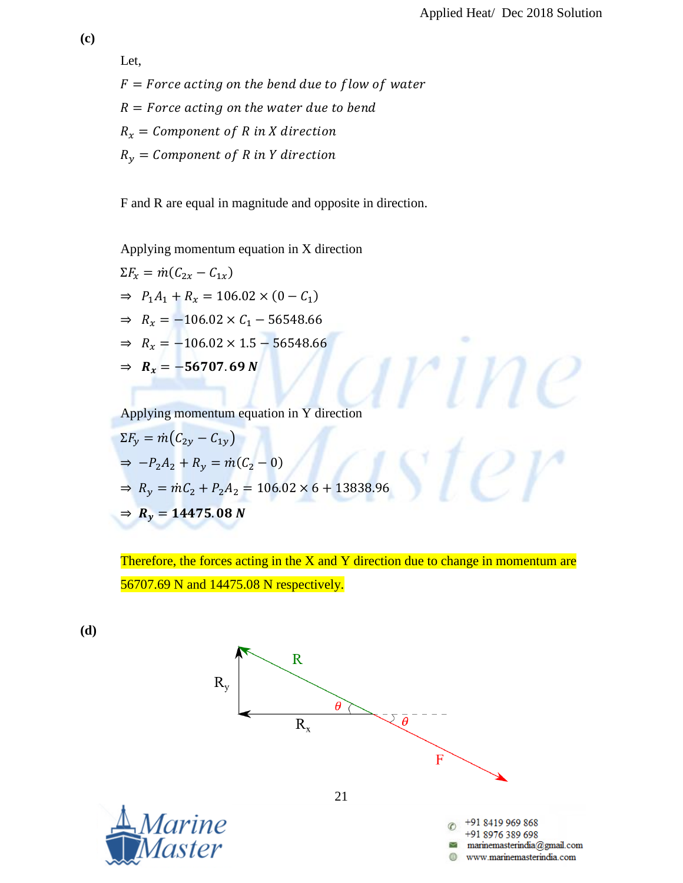٠

 $\vee$ t $\rho$ r

Let,  $F = Force$  acting on the bend due to flow of water  $R = Force$  acting on the water due to bend  $R_x =$  Component of R in X direction  $R_y =$  Component of R in Y direction

F and R are equal in magnitude and opposite in direction.

Applying momentum equation in X direction

$$
\Sigma F_x = \dot{m}(C_{2x} - C_{1x})
$$
  
\n
$$
\Rightarrow P_1 A_1 + R_x = 106.02 \times (0 - C_1)
$$
  
\n
$$
\Rightarrow R_x = -106.02 \times C_1 - 56548.66
$$
  
\n
$$
\Rightarrow R_x = -106.02 \times 1.5 - 56548.66
$$
  
\n
$$
\Rightarrow R_x = -56707.69 \text{ N}
$$

Applying momentum equation in Y direction

$$
\Sigma F_y = \dot{m}(C_{2y} - C_{1y})
$$
  
\n
$$
\Rightarrow -P_2 A_2 + R_y = \dot{m}(C_2 - 0)
$$
  
\n
$$
\Rightarrow R_y = \dot{m}C_2 + P_2 A_2 = 106.02 \times 6 + 13838.96
$$
  
\n
$$
\Rightarrow R_y = 14475.08 \text{ N}
$$

Therefore, the forces acting in the X and Y direction due to change in momentum are 
$$
56707.69
$$
 N and  $14475.08$  N respectively.

**(d)**